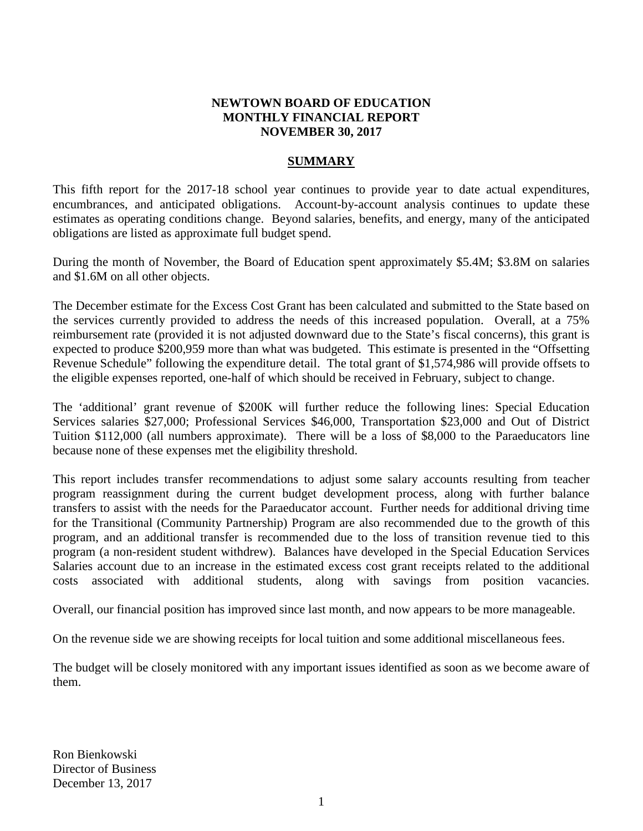## **NEWTOWN BOARD OF EDUCATION MONTHLY FINANCIAL REPORT NOVEMBER 30, 2017**

## **SUMMARY**

This fifth report for the 2017-18 school year continues to provide year to date actual expenditures, encumbrances, and anticipated obligations. Account-by-account analysis continues to update these estimates as operating conditions change. Beyond salaries, benefits, and energy, many of the anticipated obligations are listed as approximate full budget spend.

During the month of November, the Board of Education spent approximately \$5.4M; \$3.8M on salaries and \$1.6M on all other objects.

The December estimate for the Excess Cost Grant has been calculated and submitted to the State based on the services currently provided to address the needs of this increased population. Overall, at a 75% reimbursement rate (provided it is not adjusted downward due to the State's fiscal concerns), this grant is expected to produce \$200,959 more than what was budgeted. This estimate is presented in the "Offsetting Revenue Schedule" following the expenditure detail. The total grant of \$1,574,986 will provide offsets to the eligible expenses reported, one-half of which should be received in February, subject to change.

The 'additional' grant revenue of \$200K will further reduce the following lines: Special Education Services salaries \$27,000; Professional Services \$46,000, Transportation \$23,000 and Out of District Tuition \$112,000 (all numbers approximate). There will be a loss of \$8,000 to the Paraeducators line because none of these expenses met the eligibility threshold.

This report includes transfer recommendations to adjust some salary accounts resulting from teacher program reassignment during the current budget development process, along with further balance transfers to assist with the needs for the Paraeducator account. Further needs for additional driving time for the Transitional (Community Partnership) Program are also recommended due to the growth of this program, and an additional transfer is recommended due to the loss of transition revenue tied to this program (a non-resident student withdrew). Balances have developed in the Special Education Services Salaries account due to an increase in the estimated excess cost grant receipts related to the additional costs associated with additional students, along with savings from position vacancies.

Overall, our financial position has improved since last month, and now appears to be more manageable.

On the revenue side we are showing receipts for local tuition and some additional miscellaneous fees.

The budget will be closely monitored with any important issues identified as soon as we become aware of them.

Ron Bienkowski Director of Business December 13, 2017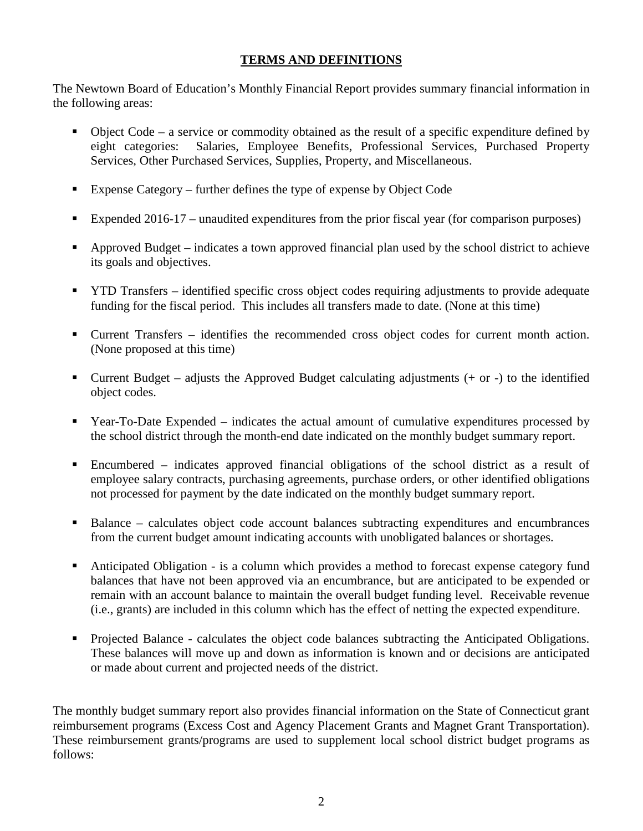## **TERMS AND DEFINITIONS**

The Newtown Board of Education's Monthly Financial Report provides summary financial information in the following areas:

- Object Code a service or commodity obtained as the result of a specific expenditure defined by eight categories: Salaries, Employee Benefits, Professional Services, Purchased Property Services, Other Purchased Services, Supplies, Property, and Miscellaneous.
- Expense Category further defines the type of expense by Object Code
- Expended 2016-17 unaudited expenditures from the prior fiscal year (for comparison purposes)
- Approved Budget indicates a town approved financial plan used by the school district to achieve its goals and objectives.
- **THE TRANSFER** identified specific cross object codes requiring adjustments to provide adequate funding for the fiscal period. This includes all transfers made to date. (None at this time)
- Current Transfers identifies the recommended cross object codes for current month action. (None proposed at this time)
- Current Budget adjusts the Approved Budget calculating adjustments  $(+)$  or  $-)$  to the identified object codes.
- Year-To-Date Expended indicates the actual amount of cumulative expenditures processed by the school district through the month-end date indicated on the monthly budget summary report.
- Encumbered indicates approved financial obligations of the school district as a result of employee salary contracts, purchasing agreements, purchase orders, or other identified obligations not processed for payment by the date indicated on the monthly budget summary report.
- Balance calculates object code account balances subtracting expenditures and encumbrances from the current budget amount indicating accounts with unobligated balances or shortages.
- Anticipated Obligation is a column which provides a method to forecast expense category fund balances that have not been approved via an encumbrance, but are anticipated to be expended or remain with an account balance to maintain the overall budget funding level. Receivable revenue (i.e., grants) are included in this column which has the effect of netting the expected expenditure.
- Projected Balance calculates the object code balances subtracting the Anticipated Obligations. These balances will move up and down as information is known and or decisions are anticipated or made about current and projected needs of the district.

The monthly budget summary report also provides financial information on the State of Connecticut grant reimbursement programs (Excess Cost and Agency Placement Grants and Magnet Grant Transportation). These reimbursement grants/programs are used to supplement local school district budget programs as follows: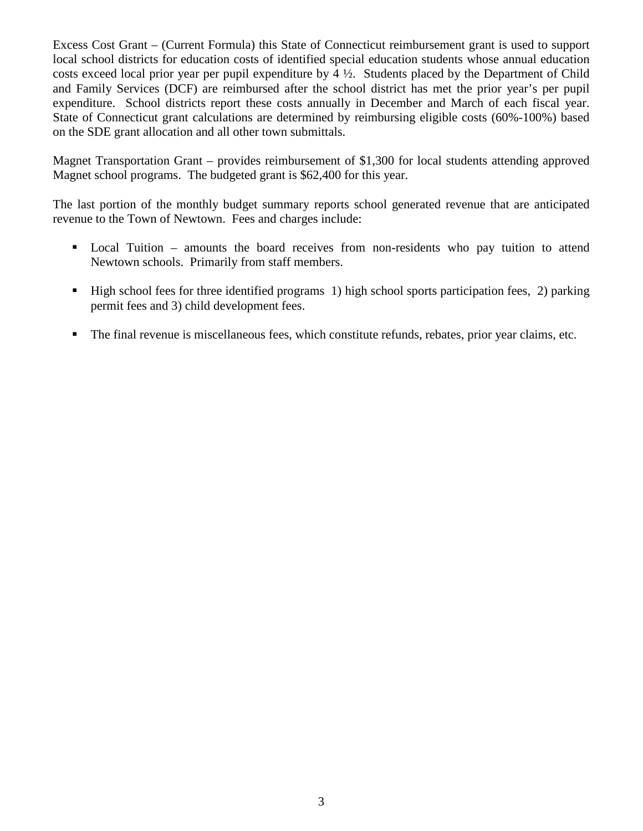Excess Cost Grant – (Current Formula) this State of Connecticut reimbursement grant is used to support local school districts for education costs of identified special education students whose annual education costs exceed local prior year per pupil expenditure by 4 ½. Students placed by the Department of Child and Family Services (DCF) are reimbursed after the school district has met the prior year's per pupil expenditure. School districts report these costs annually in December and March of each fiscal year. State of Connecticut grant calculations are determined by reimbursing eligible costs (60%-100%) based on the SDE grant allocation and all other town submittals.

Magnet Transportation Grant – provides reimbursement of \$1,300 for local students attending approved Magnet school programs. The budgeted grant is \$62,400 for this year.

The last portion of the monthly budget summary reports school generated revenue that are anticipated revenue to the Town of Newtown. Fees and charges include:

- Local Tuition amounts the board receives from non-residents who pay tuition to attend Newtown schools. Primarily from staff members.
- High school fees for three identified programs 1) high school sports participation fees, 2) parking permit fees and 3) child development fees.
- The final revenue is miscellaneous fees, which constitute refunds, rebates, prior year claims, etc.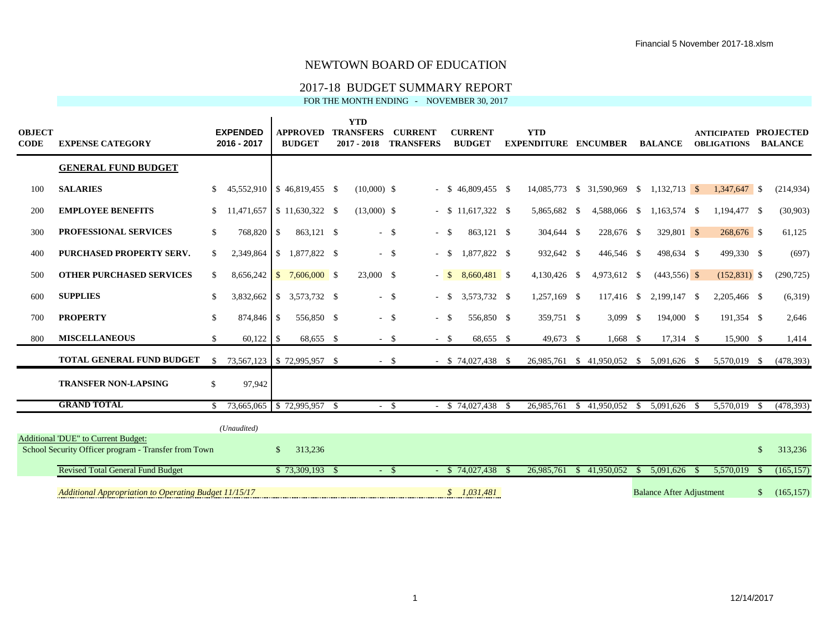### 2017-18 BUDGET SUMMARY REPORT

| <b>OBJECT</b><br><b>CODE</b> | <b>EXPENSE CATEGORY</b>                                                                     |               | <b>EXPENDED</b><br>2016 - 2017 |              | <b>APPROVED</b><br><b>BUDGET</b> | <b>YTD</b><br><b>TRANSFERS</b><br>$2017 - 2018$ | <b>CURRENT</b><br><b>TRANSFERS</b> |        | <b>CURRENT</b><br><b>BUDGET</b> | <b>YTD</b><br><b>EXPENDITURE</b> | <b>ENCUMBER</b>                        |      | <b>BALANCE</b>                  |    | <b>ANTICIPATED PROJECTED</b><br><b>OBLIGATIONS</b> |              | <b>BALANCE</b> |
|------------------------------|---------------------------------------------------------------------------------------------|---------------|--------------------------------|--------------|----------------------------------|-------------------------------------------------|------------------------------------|--------|---------------------------------|----------------------------------|----------------------------------------|------|---------------------------------|----|----------------------------------------------------|--------------|----------------|
|                              | <b>GENERAL FUND BUDGET</b>                                                                  |               |                                |              |                                  |                                                 |                                    |        |                                 |                                  |                                        |      |                                 |    |                                                    |              |                |
| 100                          | <b>SALARIES</b>                                                                             | <sup>\$</sup> | 45,552,910   \$46,819,455 \$   |              |                                  | $(10,000)$ \$                                   |                                    |        | $-$ \$ 46,809,455 \$            | 14,085,773                       | $$31,590,969$ \$                       |      | $1,132,713$ \$                  |    | 1,347,647 \$                                       |              | (214, 934)     |
| 200                          | <b>EMPLOYEE BENEFITS</b>                                                                    | <sup>\$</sup> | 11.471.657                     |              | $$11,630,322$ \\$                | $(13,000)$ \$                                   |                                    |        | $-$ \$ 11,617,322 \$            | 5,865,682 \$                     | 4,588,066 \$                           |      | 1,163,574 \$                    |    | 1,194,477 \$                                       |              | (30,903)       |
| 300                          | <b>PROFESSIONAL SERVICES</b>                                                                | <sup>\$</sup> | 768,820                        | \$           | 863.121 \$                       |                                                 | $-$ \$                             | $- S$  | 863.121 \$                      | 304,644 \$                       | 228,676 \$                             |      | $329,801$ \$                    |    | 268,676 \$                                         |              | 61,125         |
| 400                          | PURCHASED PROPERTY SERV.                                                                    | <sup>\$</sup> | 2,349,864                      |              | $$1,877,822$ \\$                 |                                                 | $-$ \$                             | $-$ \$ | 1,877,822 \$                    | 932,642 \$                       | 446,546 \$                             |      | 498,634 \$                      |    | 499,330 \$                                         |              | (697)          |
| 500                          | <b>OTHER PURCHASED SERVICES</b>                                                             | \$            |                                |              |                                  | 23,000 \$                                       |                                    | $-$ \$ | 8,660,481 \$                    | 4,130,426 \$                     | 4,973,612 \$                           |      | $(443,556)$ \$                  |    | $(152,831)$ \$                                     |              | (290, 725)     |
| 600                          | <b>SUPPLIES</b>                                                                             | <sup>\$</sup> | 3,832,662                      |              | $$3,573,732$ \$                  |                                                 | $-$ \$                             | $-$ \$ | 3,573,732 \$                    | 1,257,169 \$                     | 117,416 \$                             |      | 2,199,147 \$                    |    | 2,205,466 \$                                       |              | (6,319)        |
| 700                          | <b>PROPERTY</b>                                                                             | <sup>\$</sup> | 874,846                        | \$           | 556,850 \$                       |                                                 | $-$ \$                             | $- S$  | 556,850 \$                      | 359,751 \$                       | $3,099$ \$                             |      | 194,000 \$                      |    | 191,354 \$                                         |              | 2,646          |
| 800                          | <b>MISCELLANEOUS</b>                                                                        | <sup>\$</sup> | 60,122                         | \$           | 68,655 \$                        |                                                 | $-$ \$                             | $-$ \$ | 68,655 \$                       | 49,673 \$                        | $1,668$ \$                             |      | 17,314 \$                       |    | 15,900 \$                                          |              | 1,414          |
|                              | <b>TOTAL GENERAL FUND BUDGET</b>                                                            | <sup>\$</sup> |                                |              | 73,567,123 \$72,995,957 \$       |                                                 | $-$ \$                             |        | $-$ \$ 74,027,438 \$            | 26,985,761                       | $$41,950,052 \quad $5,091,626 \quad $$ |      |                                 |    | 5,570,019 \$                                       |              | (478, 393)     |
|                              | <b>TRANSFER NON-LAPSING</b>                                                                 | $\mathbb{S}$  | 97,942                         |              |                                  |                                                 |                                    |        |                                 |                                  |                                        |      |                                 |    |                                                    |              |                |
|                              | <b>GRAND TOTAL</b>                                                                          | -S            | 73,665,065 \$72,995,957 \$     |              |                                  |                                                 | $-$ \$                             |        | $-$ \$ 74,027,438 \$            | 26,985,761                       | \$41,950,052                           | - \$ | 5,091,626                       | -8 | 5,570,019                                          | -S           | (478, 393)     |
|                              |                                                                                             |               | (Unaudited)                    |              |                                  |                                                 |                                    |        |                                 |                                  |                                        |      |                                 |    |                                                    |              |                |
|                              | Additional 'DUE" to Current Budget:<br>School Security Officer program - Transfer from Town |               |                                | <sup>S</sup> | 313,236                          |                                                 |                                    |        |                                 |                                  |                                        |      |                                 |    |                                                    | $\mathbb{S}$ | 313,236        |
|                              | <b>Revised Total General Fund Budget</b>                                                    |               |                                |              | $$73,309,193$ \;                 |                                                 | $-$ \$                             |        | $-$ \$ 74,027,438 \$            | 26,985,761                       | \$41,950,052                           | -85  | $5,091,626$ \$                  |    | 5,570,019                                          |              | (165, 157)     |
|                              | Additional Appropriation to Operating Budget 11/15/17                                       |               |                                |              |                                  |                                                 |                                    |        | \$1,031,481                     |                                  |                                        |      | <b>Balance After Adjustment</b> |    |                                                    | \$           | (165, 157)     |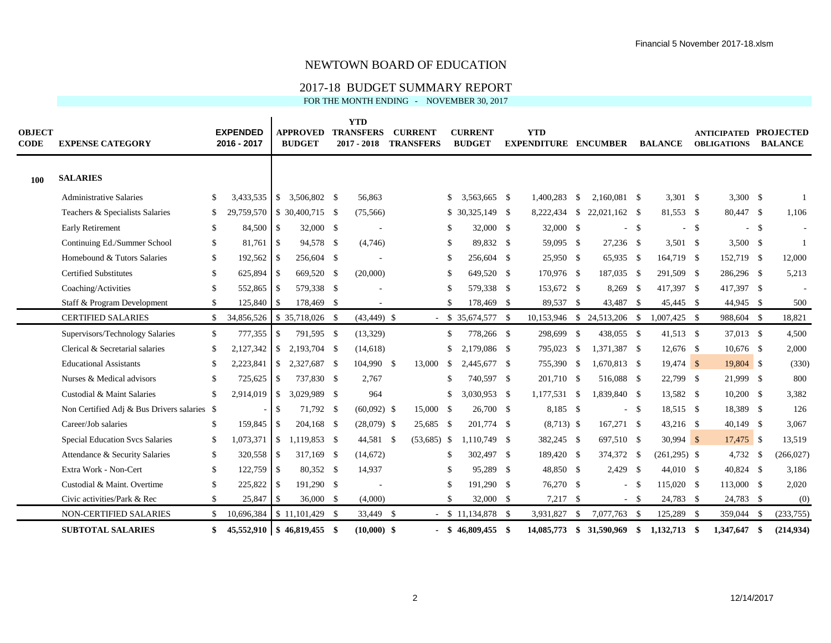#### 2017-18 BUDGET SUMMARY REPORT

| <b>OBJECT</b><br><b>CODE</b> | <b>EXPENSE CATEGORY</b>                     |               | <b>EXPENDED</b><br>2016 - 2017 |               | <b>APPROVED</b><br><b>BUDGET</b> | <b>YTD</b><br><b>TRANSFERS</b><br>$2017 - 2018$ | <b>CURRENT</b><br><b>TRANSFERS</b> |              | <b>CURRENT</b><br><b>BUDGET</b> | <b>YTD</b><br><b>EXPENDITURE ENCUMBER</b> |          |                             |        | <b>BALANCE</b>      |        | <b>ANTICIPATED PROJECTED</b><br><b>OBLIGATIONS</b> |        | <b>BALANCE</b> |
|------------------------------|---------------------------------------------|---------------|--------------------------------|---------------|----------------------------------|-------------------------------------------------|------------------------------------|--------------|---------------------------------|-------------------------------------------|----------|-----------------------------|--------|---------------------|--------|----------------------------------------------------|--------|----------------|
| 100                          | <b>SALARIES</b>                             |               |                                |               |                                  |                                                 |                                    |              |                                 |                                           |          |                             |        |                     |        |                                                    |        |                |
|                              | <b>Administrative Salaries</b>              | S.            | 3,433,535                      |               | $$3,506,802$ \$                  | 56,863                                          |                                    |              | 3,563,665 \$                    | 1.400.283                                 | <b>S</b> | 2.160.081 \$                |        | $3,301$ \$          |        | $3,300$ \$                                         |        |                |
|                              | Teachers & Specialists Salaries             | <sup>\$</sup> | 29,759,570                     |               | $$30,400,715$ \ \$               | (75, 566)                                       |                                    |              | $$30.325.149$ \ \$              | 8,222,434                                 |          | $$22.021.162$ \ \$          |        | 81.553 \$           |        | 80,447 \$                                          |        | 1,106          |
|                              | <b>Early Retirement</b>                     | -S            | 84,500                         | -\$           | 32,000 \$                        |                                                 |                                    |              | 32,000 \$                       | 32,000 \$                                 |          |                             | $-$ \$ |                     | $-$ \$ |                                                    | $-$ \$ |                |
|                              | Continuing Ed./Summer School                | \$            | 81,761                         | <b>S</b>      | 94,578 \$                        | (4,746)                                         |                                    | £.           | 89,832 \$                       | 59,095 \$                                 |          | 27,236 \$                   |        | 3,501 $\frac{1}{2}$ |        | $3,500$ \$                                         |        | -1             |
|                              | Homebound & Tutors Salaries                 | \$            | 192,562                        | <b>S</b>      | 256,604 \$                       |                                                 |                                    |              | 256,604 \$                      | 25,950 \$                                 |          | 65,935 \$                   |        | 164,719 \$          |        | 152,719 \$                                         |        | 12,000         |
|                              | <b>Certified Substitutes</b>                | \$            | 625,894                        | -\$           | 669,520 \$                       | (20,000)                                        |                                    |              | 649,520 \$                      | 170,976 \$                                |          | 187,035 \$                  |        | 291,509 \$          |        | 286,296 \$                                         |        | 5,213          |
|                              | Coaching/Activities                         | \$            | 552,865                        | -\$           | 579,338 \$                       |                                                 |                                    | £.           | 579,338 \$                      | 153,672 \$                                |          | 8,269 \$                    |        | 417,397 \$          |        | 417,397 \$                                         |        |                |
|                              | Staff & Program Development                 | \$            | 125,840                        | -\$           | 178,469 \$                       |                                                 |                                    |              | 178,469 \$                      | 89,537 \$                                 |          | 43,487 \$                   |        | 45,445 \$           |        | 44,945 \$                                          |        | 500            |
|                              | <b>CERTIFIED SALARIES</b>                   | \$            | 34,856,526                     |               | \$35,718,026 \$                  | $(43, 449)$ \$                                  |                                    |              | $-$ \$ 35,674,577 \$            |                                           |          | 10,153,946 \$ 24,513,206 \$ |        | $1,007,425$ \$      |        | 988,604 \$                                         |        | 18,821         |
|                              | Supervisors/Technology Salaries             | $\mathbb{S}$  | 777,355                        | <sup>\$</sup> | 791,595 \$                       | (13, 329)                                       |                                    | S.           | 778,266 \$                      | 298,699 \$                                |          | 438,055 \$                  |        | 41,513 \$           |        | 37,013 \$                                          |        | 4,500          |
|                              | Clerical & Secretarial salaries             | \$            | 2,127,342                      | \$            | 2,193,704 \$                     | (14, 618)                                       |                                    | S.           | 2,179,086 \$                    | 795,023 \$                                |          | 1,371,387 \$                |        | 12,676 \$           |        | $10,676$ \$                                        |        | 2,000          |
|                              | <b>Educational Assistants</b>               | -S            | 2,223,841                      | <sup>\$</sup> | 2,327,687 \$                     | 104,990 \$                                      | 13,000                             | $\mathbb{S}$ | 2,445,677 \$                    | 755,390 \$                                |          | 1,670,813 \$                |        | 19,474 \$           |        | 19,804 \$                                          |        | (330)          |
|                              | Nurses & Medical advisors                   | £.            | 725,625                        | -\$           | 737,830 \$                       | 2,767                                           |                                    | \$.          | 740,597 \$                      | 201,710 \$                                |          | 516,088 \$                  |        | 22,799 \$           |        | 21,999 \$                                          |        | 800            |
|                              | Custodial & Maint Salaries                  | $\mathcal{S}$ | 2,914,019                      | <sup>S</sup>  | 3.029.989 \$                     | 964                                             |                                    | \$           | 3.030.953 \$                    | 1,177,531 \$                              |          | 1,839,840 \$                |        | 13,582 \$           |        | $10,200$ \$                                        |        | 3,382          |
|                              | Non Certified Adj & Bus Drivers salaries \$ |               |                                | -S            | 71,792 \$                        | $(60,092)$ \$                                   | 15,000 \$                          |              | 26,700 \$                       | 8,185 \$                                  |          |                             | - \$   | 18,515 \$           |        | 18,389 \$                                          |        | 126            |
|                              | Career/Job salaries                         | \$            | 159,845                        | l \$          | 204,168 \$                       | $(28,079)$ \$                                   | 25,685 \$                          |              | 201,774 \$                      | $(8,713)$ \$                              |          | 167,271 \$                  |        | 43,216 \$           |        | $40,149$ \$                                        |        | 3,067          |
|                              | <b>Special Education Svcs Salaries</b>      | <sup>\$</sup> | 1,073,371                      | -\$           | 1,119,853 \$                     | 44,581 \$                                       | $(53,685)$ \$                      |              | 1.110.749 \$                    | 382,245 \$                                |          | 697,510 \$                  |        | $30,994$ \$         |        | 17,475 \$                                          |        | 13,519         |
|                              | Attendance & Security Salaries              | \$            | 320,558                        | -\$           | 317,169 \$                       | (14, 672)                                       |                                    | £.           | 302,497 \$                      | 189,420 \$                                |          | 374,372 \$                  |        | $(261,295)$ \$      |        | 4,732 \$                                           |        | (266, 027)     |
|                              | Extra Work - Non-Cert                       | <sup>\$</sup> | 122,759 \$                     |               | 80,352 \$                        | 14,937                                          |                                    |              | 95,289 \$                       | 48,850 \$                                 |          | $2,429$ \$                  |        | 44,010 \$           |        | 40,824 \$                                          |        | 3,186          |
|                              | Custodial & Maint. Overtime                 | <sup>\$</sup> | 225,822                        | -\$           | 191,290 \$                       |                                                 |                                    | \$.          | 191,290 \$                      | 76,270 \$                                 |          | $\overline{\phantom{a}}$    | - \$   | 115,020 \$          |        | 113,000 \$                                         |        | 2,020          |
|                              | Civic activities/Park & Rec                 | \$            | 25,847                         | -\$           | 36,000 \$                        | (4,000)                                         |                                    | \$           | 32,000 \$                       | $7,217$ \$                                |          |                             | $-$ \$ | 24,783 \$           |        | 24,783 \$                                          |        | (0)            |
|                              | NON-CERTIFIED SALARIES                      | \$.           | 10,696,384                     |               | $$11,101,429$ \\$                | 33,449 \$                                       |                                    |              | $-$ \$ 11,134,878 \$            | 3,931,827                                 | <b>S</b> | 7,077,763 \$                |        | 125,289 \$          |        | 359,044                                            | - \$   | (233,755)      |
|                              | <b>SUBTOTAL SALARIES</b>                    | \$            |                                |               | 45,552,910   \$46,819,455 \$     | $(10,000)$ \$                                   |                                    |              | $-$ \$ 46,809,455 \$            |                                           |          | 14,085,773 \$ 31,590,969 \$ |        | 1,132,713 \$        |        | 1,347,647                                          | - \$   | (214, 934)     |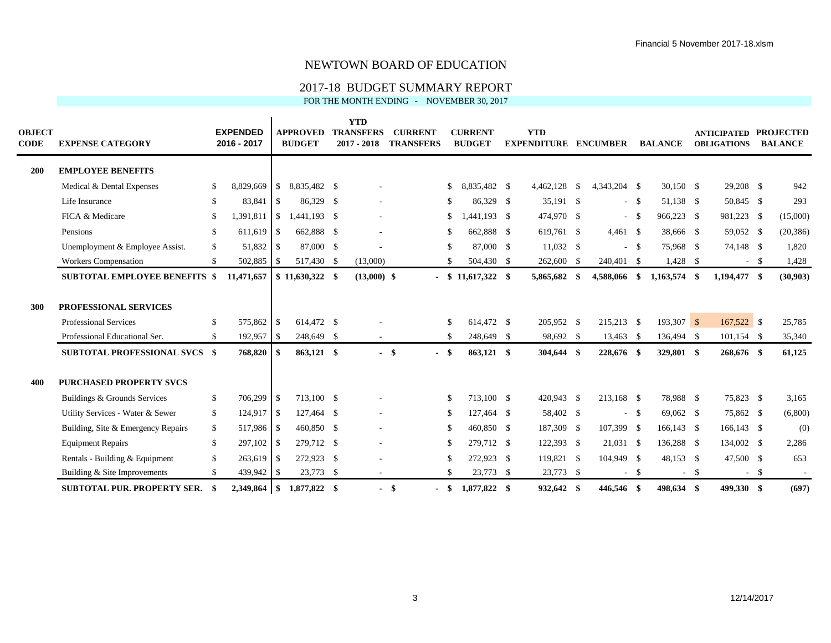### 2017-18 BUDGET SUMMARY REPORT

| <b>OBJECT</b><br><b>CODE</b> | <b>EXPENSE CATEGORY</b>              |               | <b>EXPENDED</b><br>2016 - 2017 |            | <b>APPROVED</b><br><b>BUDGET</b> | <b>YTD</b><br><b>TRANSFERS</b><br>$2017 - 2018$ | <b>CURRENT</b><br><b>TRANSFERS</b> |               | <b>CURRENT</b><br><b>BUDGET</b> | <b>YTD</b><br><b>EXPENDITURE</b> | <b>ENCUMBER</b> |           | <b>BALANCE</b> |      | <b>ANTICIPATED PROJECTED</b><br><b>OBLIGATIONS</b> |        | <b>BALANCE</b> |
|------------------------------|--------------------------------------|---------------|--------------------------------|------------|----------------------------------|-------------------------------------------------|------------------------------------|---------------|---------------------------------|----------------------------------|-----------------|-----------|----------------|------|----------------------------------------------------|--------|----------------|
| 200                          | <b>EMPLOYEE BENEFITS</b>             |               |                                |            |                                  |                                                 |                                    |               |                                 |                                  |                 |           |                |      |                                                    |        |                |
|                              | Medical & Dental Expenses            | S             | 8,829,669 \$                   |            | 8,835,482 \$                     |                                                 |                                    | S.            | 8,835,482 \$                    | 4,462,128 \$                     | 4,343,204 \$    |           | 30,150 \$      |      | 29,208 \$                                          |        | 942            |
|                              | Life Insurance                       | <sup>\$</sup> |                                |            | 86,329 \$                        |                                                 |                                    | <sup>\$</sup> | 86.329 \$                       | 35,191 \$                        |                 | $-$ \$    | 51,138 \$      |      | 50,845 \$                                          |        | 293            |
|                              | FICA & Medicare                      | <sup>\$</sup> | 1,391,811                      | $\vert$ \$ | 1,441,193 \$                     |                                                 |                                    | \$            | $1,441,193$ \$                  | 474,970 \$                       | $\sim$          | - \$      | 966,223 \$     |      | 981,223 \$                                         |        | (15,000)       |
|                              | Pensions                             | <sup>\$</sup> | $611,619$ \$                   |            | 662,888 \$                       |                                                 |                                    | -S            | 662,888 \$                      | 619,761 \$                       | $4,461$ \$      |           | 38,666 \$      |      | 59,052 \$                                          |        | (20, 386)      |
|                              | Unemployment & Employee Assist.      | \$            | 51,832 \$                      |            | 87,000 \$                        |                                                 |                                    | -S            | 87,000 \$                       | $11,032$ \$                      |                 | $-$ \$    | 75,968 \$      |      | 74,148 \$                                          |        | 1,820          |
|                              | <b>Workers Compensation</b>          | <sup>\$</sup> | 502,885 \$                     |            | 517,430 \$                       | (13,000)                                        |                                    |               | 504,430 \$                      | 262,600 \$                       | 240,401 \$      |           | $1,428$ \$     |      |                                                    | $-$ \$ | 1,428          |
|                              | <b>SUBTOTAL EMPLOYEE BENEFITS \$</b> |               | 11,471,657                     |            | $$11,630,322$ \$                 | $(13,000)$ \$                                   |                                    |               | $-$ \$ 11,617,322 \$            | 5,865,682 \$                     | 4,588,066       | $\bullet$ | 1,163,574 \$   |      | 1,194,477 \$                                       |        | (30,903)       |
| 300                          | <b>PROFESSIONAL SERVICES</b>         |               |                                |            |                                  |                                                 |                                    |               |                                 |                                  |                 |           |                |      |                                                    |        |                |
|                              | <b>Professional Services</b>         | <sup>\$</sup> | 575,862 \$                     |            | 614.472 \$                       |                                                 |                                    | <sup>\$</sup> | 614.472 \$                      | 205,952 \$                       | 215,213 \$      |           | $193,307$ \$   |      | 167,522 \$                                         |        | 25,785         |
|                              | Professional Educational Ser.        | <sup>\$</sup> | $192,957$ \$                   |            | 248,649 \$                       | $\sim$                                          |                                    | \$            | 248,649 \$                      | 98,692 \$                        | 13,463 \$       |           | 136,494 \$     |      | $101,154$ \$                                       |        | 35,340         |
|                              | <b>SUBTOTAL PROFESSIONAL SVCS \$</b> |               | 768,820 \$                     |            | 863,121 \$                       | $\sim$                                          | - \$                               | - \$          | 863,121 \$                      | 304,644 \$                       | 228,676 \$      |           | 329,801 \$     |      | 268,676 \$                                         |        | 61,125         |
| 400                          | <b>PURCHASED PROPERTY SVCS</b>       |               |                                |            |                                  |                                                 |                                    |               |                                 |                                  |                 |           |                |      |                                                    |        |                |
|                              | Buildings & Grounds Services         | \$            | 706,299 \$                     |            | 713,100 \$                       |                                                 |                                    | \$            | 713,100 \$                      | 420,943 \$                       | 213,168 \$      |           | 78,988 \$      |      | 75,823 \$                                          |        | 3,165          |
|                              | Utility Services - Water & Sewer     | \$            | $124,917$ \$                   |            | 127,464 \$                       | $\overline{\phantom{a}}$                        |                                    | <sup>\$</sup> | 127,464 \$                      | 58,402 \$                        |                 | $- S$     | 69,062 \$      |      | 75,862 \$                                          |        | (6,800)        |
|                              | Building, Site & Emergency Repairs   | \$            | 517,986 \$                     |            | 460,850 \$                       |                                                 |                                    | S             | 460,850 \$                      | 187,309 \$                       | 107,399 \$      |           | $166, 143$ \$  |      | 166,143 \$                                         |        | (0)            |
|                              | <b>Equipment Repairs</b>             | <sup>\$</sup> | $297,102$ \$                   |            | 279,712 \$                       | $\overline{\phantom{a}}$                        |                                    | \$            | 279,712 \$                      | 122,393 \$                       | 21,031 \$       |           | 136,288 \$     |      | 134,002 \$                                         |        | 2,286          |
|                              | Rentals - Building & Equipment       | \$            | $263,619$ \$                   |            | 272,923 \$                       |                                                 |                                    | <sup>\$</sup> | 272,923 \$                      | 119,821 \$                       | 104,949 \$      |           | 48,153 \$      |      | 47,500 \$                                          |        | 653            |
|                              | Building & Site Improvements         | <sup>\$</sup> | 439,942 \$                     |            | 23,773 \$                        |                                                 |                                    | \$            | 23,773 \$                       | 23,773 \$                        | $\sim$          | - \$      | $\sim$         | - \$ |                                                    | $-$ \$ |                |
|                              | <b>SUBTOTAL PUR. PROPERTY SER.</b>   |               |                                |            | 1.877.822 \$                     | $\blacksquare$                                  | -\$                                | - \$          | 1.877.822 \$                    | 932.642 \$                       | 446.546 \$      |           | 498.634 \$     |      | 499.330 \$                                         |        | (697)          |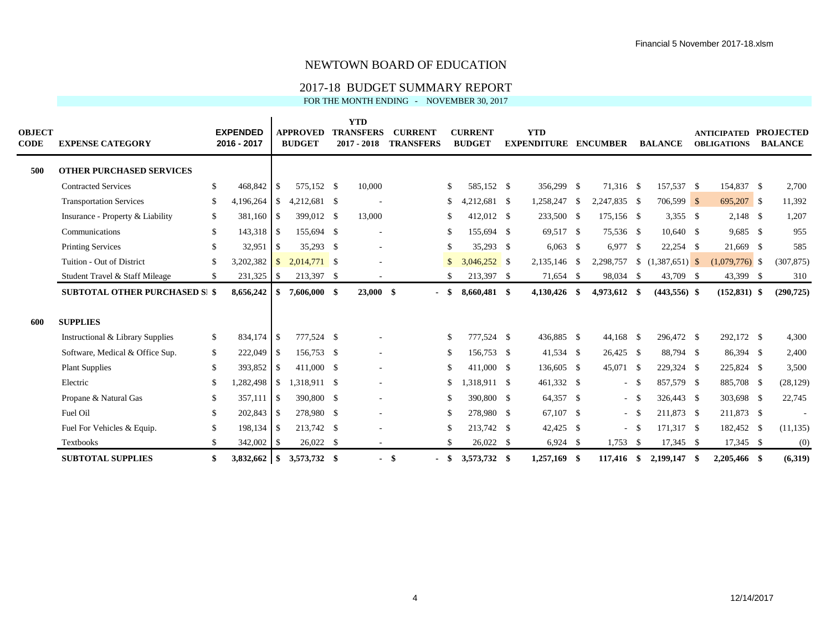### 2017-18 BUDGET SUMMARY REPORT

| <b>OBJECT</b><br><b>CODE</b> | <b>EXPENSE CATEGORY</b>                     |               | <b>EXPENDED</b><br>2016 - 2017 |               | <b>APPROVED</b><br><b>BUDGET</b> | <b>YTD</b><br><b>TRANSFERS</b><br>$2017 - 2018$ | <b>CURRENT</b><br><b>TRANSFERS</b> |               | <b>CURRENT</b><br><b>BUDGET</b> | <b>YTD</b><br><b>EXPENDITURE</b> |      | <b>ENCUMBER</b> |          | <b>BALANCE</b>      |      | <b>ANTICIPATED PROJECTED</b><br><b>OBLIGATIONS</b> | <b>BALANCE</b> |
|------------------------------|---------------------------------------------|---------------|--------------------------------|---------------|----------------------------------|-------------------------------------------------|------------------------------------|---------------|---------------------------------|----------------------------------|------|-----------------|----------|---------------------|------|----------------------------------------------------|----------------|
| 500                          | <b>OTHER PURCHASED SERVICES</b>             |               |                                |               |                                  |                                                 |                                    |               |                                 |                                  |      |                 |          |                     |      |                                                    |                |
|                              | <b>Contracted Services</b>                  | \$            | 468,842                        | -S            | 575,152 \$                       | 10,000                                          |                                    | S.            | 585,152 \$                      | 356,299 \$                       |      | 71,316 \$       |          | 157,537 \$          |      | 154,837 \$                                         | 2,700          |
|                              | <b>Transportation Services</b>              | <sup>\$</sup> | 4,196,264                      | <sup>S</sup>  | 4,212,681 \$                     |                                                 |                                    | \$            | $,212,681$ \$                   | 1,258,247                        | - \$ | 2.247.835 \$    |          | $706,599$ \$        |      | 695,207 \$                                         | 11,392         |
|                              | Insurance - Property & Liability            | \$            | 381,160 \$                     |               | 399,012 \$                       | 13,000                                          |                                    | \$            | 412,012 \$                      | 233,500 \$                       |      | 175,156 \$      |          | 3,355 $\frac{1}{2}$ |      | $2,148$ \$                                         | 1,207          |
|                              | Communications                              | \$            | 143,318 \$                     |               | 155,694 \$                       | $\overline{\phantom{a}}$                        |                                    | -S            | 155,694 \$                      | 69,517 \$                        |      | 75,536 \$       |          | 10,640 \$           |      | $9,685$ \$                                         | 955            |
|                              | <b>Printing Services</b>                    | S             | 32,951                         | -S            | 35,293 \$                        | $\overline{\phantom{a}}$                        |                                    | \$            | 35,293 \$                       | $6,063$ \$                       |      | 6,977           | - \$     | $22,254$ \$         |      | 21,669 \$                                          | 585            |
|                              | Tuition - Out of District                   | <sup>\$</sup> | 3,202,382                      | $\mathcal{S}$ | $2,014,771$ \$                   |                                                 |                                    | $\mathbb{S}$  | $3,046,252$ \$                  | 2,135,146 \$                     |      | 2,298,757       |          | $\{1,387,651\}$ \\$ |      | $(1,079,776)$ \$                                   | (307, 875)     |
|                              | Student Travel & Staff Mileage              | <sup>\$</sup> | $231,325$ \$                   |               | 213,397 \$                       |                                                 |                                    | $\mathcal{S}$ | 213,397 \$                      | 71,654 \$                        |      | 98,034          | <b>S</b> | 43,709 \$           |      | 43,399 \$                                          | 310            |
|                              | <b>SUBTOTAL OTHER PURCHASED SI \$</b>       |               | 8,656,242                      | \$            | 7,606,000 \$                     | $23,000$ \$                                     |                                    | - \$          | 8,660,481 \$                    | 4,130,426                        | - \$ | 4,973,612 \$    |          | $(443,556)$ \$      |      | $(152, 831)$ \$                                    | (290, 725)     |
| 600                          | <b>SUPPLIES</b>                             |               |                                |               |                                  |                                                 |                                    |               |                                 |                                  |      |                 |          |                     |      |                                                    |                |
|                              | <b>Instructional &amp; Library Supplies</b> | \$            | 834,174 \$                     |               | 777,524 \$                       |                                                 |                                    | \$            | 777,524 \$                      | 436,885 \$                       |      | $44,168$ \$     |          | 296,472 \$          |      | 292,172 \$                                         | 4,300          |
|                              | Software, Medical & Office Sup.             | \$            | 222,049 \$                     |               | 156,753 \$                       |                                                 |                                    | \$            | 156,753 \$                      | 41,534 \$                        |      | 26,425 \$       |          | 88,794 \$           |      | 86,394 \$                                          | 2,400          |
|                              | <b>Plant Supplies</b>                       | S             | 393,852 \$                     |               | 411,000 \$                       | $\sim$                                          |                                    | \$            | 411,000 \$                      | 136,605 \$                       |      | 45,071 \$       |          | 229,324 \$          |      | 225,824 \$                                         | 3,500          |
|                              | Electric                                    | S             | 1,282,498                      | -S            | 1,318,911 \$                     | $\overline{\phantom{a}}$                        |                                    | \$            | 1,318,911 \$                    | 461,332 \$                       |      |                 | $- S$    | 857,579 \$          |      | 885,708 \$                                         | (28, 129)      |
|                              | Propane & Natural Gas                       | S             | 357,111                        | l   \$        | 390,800 \$                       | $\overline{\phantom{a}}$                        |                                    | \$            | 390,800 \$                      | 64,357 \$                        |      |                 | $-$ \$   | 326,443 \$          |      | 303,698 \$                                         | 22,745         |
|                              | Fuel Oil                                    | -S            | $202,843$ \$                   |               | 278,980 \$                       |                                                 |                                    | \$            | 278,980 \$                      | 67,107 \$                        |      |                 | $-$ \$   | 211.873 \$          |      | 211,873 \$                                         |                |
|                              | Fuel For Vehicles & Equip.                  | S             | 198,134 \$                     |               | 213,742 \$                       |                                                 |                                    |               | 213,742 \$                      | 42,425 \$                        |      | $\sim$          | - \$     | 171,317 \$          |      | 182,452 \$                                         | (11, 135)      |
|                              | Textbooks                                   | -S            | 342,002 \$                     |               | $26,022$ \$                      | $\overline{\phantom{a}}$                        |                                    | \$            | 26,022 \$                       | $6,924$ \$                       |      | 1,753           | <b>S</b> | $17,345$ \$         |      | 17,345 \$                                          | (0)            |
|                              | <b>SUBTOTAL SUPPLIES</b>                    | \$            | $3,832,662$ \$                 |               | 3,573,732 \$                     | $\blacksquare$                                  | -\$                                | - \$          | 3,573,732 \$                    | 1.257.169 \$                     |      | $117,416$ \$    |          | 2,199,147           | - \$ | 2.205.466 \$                                       | (6,319)        |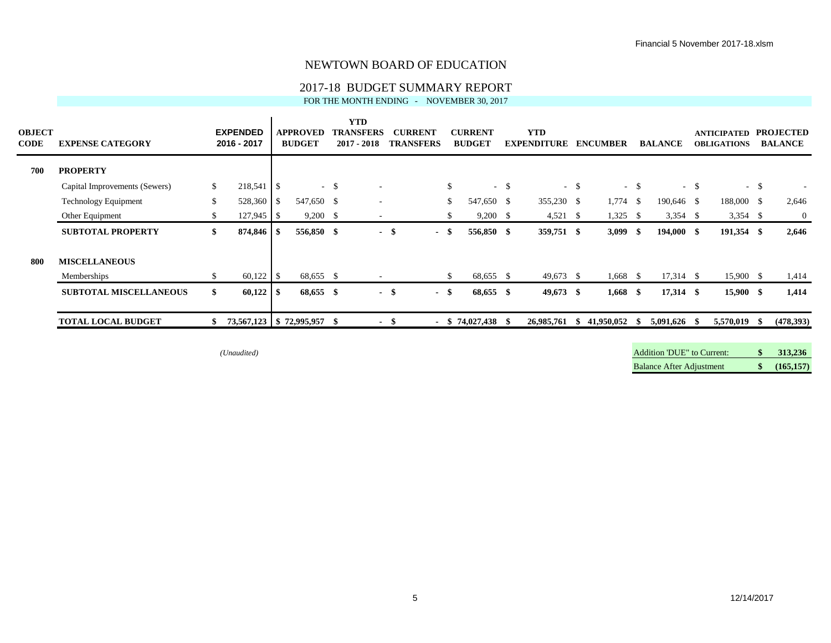### 2017-18 BUDGET SUMMARY REPORT

FOR THE MONTH ENDING - NOVEMBER 30, 2017

| <b>OBJECT</b><br><b>CODE</b> | <b>EXPENSE CATEGORY</b>       |     | <b>EXPENDED</b><br>2016 - 2017 |                | <b>APPROVED</b><br><b>BUDGET</b> |        | <b>YTD</b><br><b>TRANSFERS</b><br>$2017 - 2018$ |      | <b>CURRENT</b><br><b>TRANSFERS</b> |              | <b>CURRENT</b><br><b>BUDGET</b> |               | <b>YTD</b><br><b>EXPENDITURE</b> |        | <b>ENCUMBER</b> |        | <b>BALANCE</b> |        | <b>ANTICIPATED</b><br><b>OBLIGATIONS</b> |        | <b>PROJECTED</b><br><b>BALANCE</b> |
|------------------------------|-------------------------------|-----|--------------------------------|----------------|----------------------------------|--------|-------------------------------------------------|------|------------------------------------|--------------|---------------------------------|---------------|----------------------------------|--------|-----------------|--------|----------------|--------|------------------------------------------|--------|------------------------------------|
| 700                          | <b>PROPERTY</b>               |     |                                |                |                                  |        |                                                 |      |                                    |              |                                 |               |                                  |        |                 |        |                |        |                                          |        |                                    |
|                              | Capital Improvements (Sewers) | \$  | 218,541                        | $\overline{1}$ |                                  | $-$ \$ |                                                 |      |                                    | $\mathbb{S}$ | $\sim$                          | <sup>\$</sup> |                                  | $-$ \$ |                 | $-$ \$ |                | $-$ \$ |                                          | $-$ \$ |                                    |
|                              | Technology Equipment          | \$  | 528,360                        | -S             | 547,650 \$                       |        | $\overline{\phantom{a}}$                        |      |                                    | \$           | 547,650 \$                      |               | 355,230 \$                       |        | $1,774$ \$      |        | 190,646 \$     |        | 188,000 \$                               |        | 2,646                              |
|                              | Other Equipment               | S   |                                |                | 9,200                            | -S     | $\overline{\phantom{a}}$                        |      |                                    |              | 9,200                           | - \$          | $4,521$ \$                       |        | 1,325           | -S     | $3,354$ \$     |        | $3,354$ \$                               |        | $\mathbf{0}$                       |
|                              | <b>SUBTOTAL PROPERTY</b>      | SS. | 874,846 \$                     |                | 556,850 \$                       |        |                                                 | - \$ | - \$                               |              | 556,850 \$                      |               | 359,751 \$                       |        | $3,099$ \$      |        | 194,000 \$     |        | 191,354 \$                               |        | 2,646                              |
| 800                          | <b>MISCELLANEOUS</b>          |     |                                |                |                                  |        |                                                 |      |                                    |              |                                 |               |                                  |        |                 |        |                |        |                                          |        |                                    |
|                              | Memberships                   |     | 60,122                         | - \$           | 68,655 \$                        |        | $\overline{\phantom{a}}$                        |      |                                    | S.           | 68,655 \$                       |               | $49,673$ \$                      |        | 1,668           | - \$   | $17,314$ \$    |        | $15,900$ \$                              |        | 1,414                              |
|                              | <b>SUBTOTAL MISCELLANEOUS</b> | \$  | 60,122                         | - 36           | 68,655 \$                        |        |                                                 | - \$ | - \$                               |              | 68,655 \$                       |               | $49,673$ \$                      |        | $1,668$ \$      |        | $17,314$ \$    |        | 15,900 \$                                |        | 1,414                              |
|                              | <b>TOTAL LOCAL BUDGET</b>     |     | 73,567,123 \$72,995,957        |                |                                  | - SS   | $\blacksquare$                                  | - \$ |                                    |              | $-$ \$ 74,027,438 \$            |               | 26,985,761                       | SS.    | 41,950,052      | - 56   | 5,091,626 \$   |        | 5,570,019                                |        | (478, 393)                         |

*(Unaudited)* Addition 'DUE" to Current: **\$ 313,236** Balance After Adjustment **\$ (165,157)**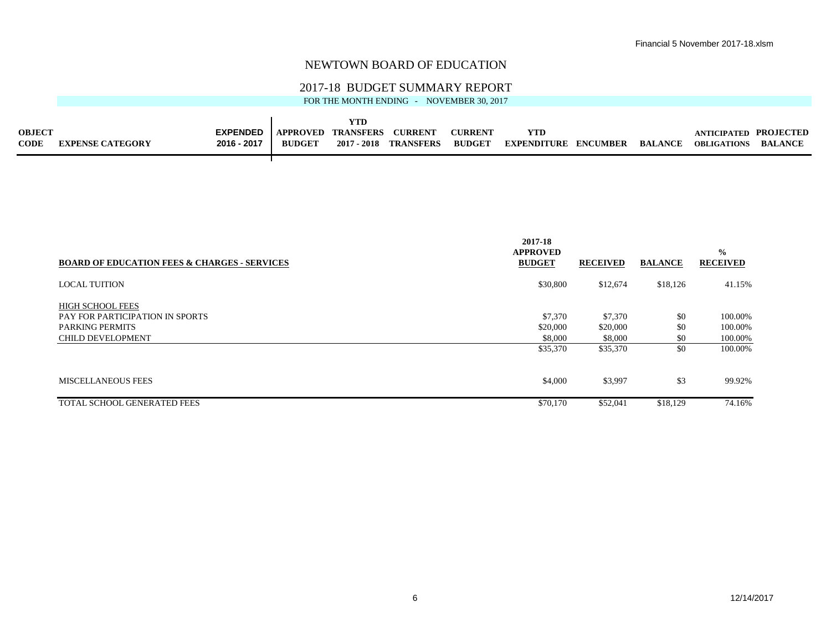#### 2017-18 BUDGET SUMMARY REPORT

|               |                         |                 |                 | YTD              |                  |                |                    |          |                |                       |                |
|---------------|-------------------------|-----------------|-----------------|------------------|------------------|----------------|--------------------|----------|----------------|-----------------------|----------------|
| <b>OBJECT</b> |                         | <b>EXPENDED</b> | <b>APPROVED</b> | <b>TRANSFERS</b> | <b>CURRENT</b>   | <b>CURRENT</b> | <b>YTD</b>         |          |                | ANTICIPATED PROJECTED |                |
| <b>CODE</b>   | <b>EXPENSE CATEGORY</b> | 2016 - 2017     | <b>BUDGET</b>   | 2017 - 2018      | <b>TRANSFERS</b> | <b>BUDGET</b>  | <b>EXPENDITURE</b> | ENCUMBER | <b>BALANCE</b> | <b>OBLIGATIONS</b>    | <b>BALANCE</b> |
|               |                         |                 |                 |                  |                  |                |                    |          |                |                       |                |

|                                                         | 2017-18<br><b>APPROVED</b> |                 |                | $\frac{0}{0}$   |
|---------------------------------------------------------|----------------------------|-----------------|----------------|-----------------|
| <b>BOARD OF EDUCATION FEES &amp; CHARGES - SERVICES</b> | <b>BUDGET</b>              | <b>RECEIVED</b> | <b>BALANCE</b> | <b>RECEIVED</b> |
| <b>LOCAL TUITION</b>                                    | \$30,800                   | \$12,674        | \$18,126       | 41.15%          |
| <b>HIGH SCHOOL FEES</b>                                 |                            |                 |                |                 |
| <b>PAY FOR PARTICIPATION IN SPORTS</b>                  | \$7,370                    | \$7,370         | \$0            | 100.00%         |
| <b>PARKING PERMITS</b>                                  | \$20,000                   | \$20,000        | \$0            | 100.00%         |
| <b>CHILD DEVELOPMENT</b>                                | \$8,000                    | \$8,000         | \$0            | 100.00%         |
|                                                         | \$35,370                   | \$35,370        | \$0            | 100.00%         |
| <b>MISCELLANEOUS FEES</b>                               | \$4,000                    | \$3,997         | \$3            | 99.92%          |
| TOTAL SCHOOL GENERATED FEES                             | \$70,170                   | \$52,041        | \$18,129       | 74.16%          |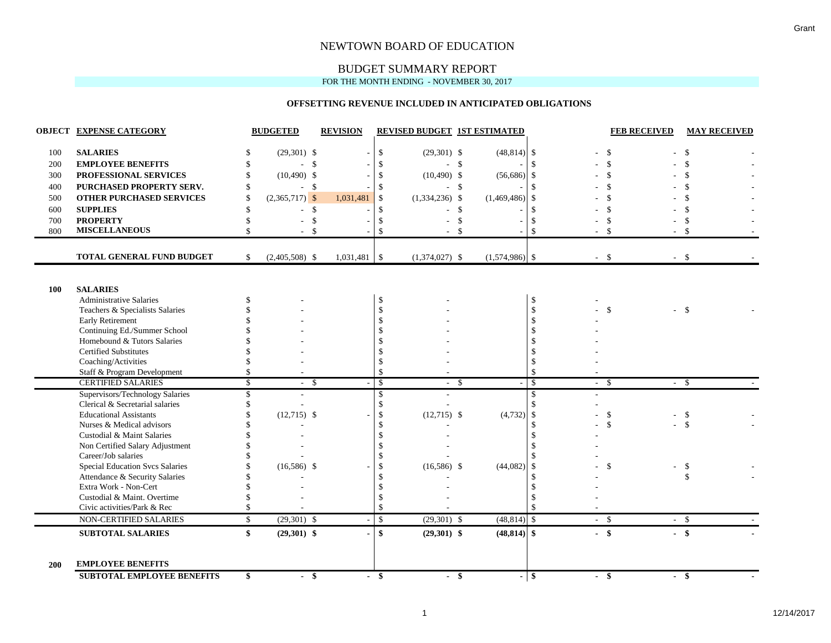## BUDGET SUMMARY REPORT

FOR THE MONTH ENDING - NOVEMBER 30, 2017

#### **OFFSETTING REVENUE INCLUDED IN ANTICIPATED OBLIGATIONS**

|     | <b>OBJECT EXPENSE CATEGORY</b>                                |              | <b>BUDGETED</b>      | <b>REVISION</b> |                                            | <b>REVISED BUDGET 1ST ESTIMATED</b> |               |                  |                    |                          | <b>FEB RECEIVED</b> | <b>MAY RECEIVED</b> |
|-----|---------------------------------------------------------------|--------------|----------------------|-----------------|--------------------------------------------|-------------------------------------|---------------|------------------|--------------------|--------------------------|---------------------|---------------------|
|     | <b>SALARIES</b>                                               |              |                      |                 |                                            |                                     |               |                  |                    |                          |                     |                     |
| 100 |                                                               | \$           | $(29,301)$ \$        |                 | $\mathcal{S}$                              | $(29,301)$ \$                       |               | $(48, 814)$ \$   |                    |                          |                     |                     |
| 200 | <b>EMPLOYEE BENEFITS</b>                                      | \$           | -\$                  |                 | $\mathcal{S}$                              |                                     | - \$          |                  | $\mathbf{s}$       |                          |                     |                     |
| 300 | PROFESSIONAL SERVICES                                         | \$           | $(10,490)$ \$        |                 | $\$\,$                                     | $(10,490)$ \$                       |               | $(56,686)$ \$    |                    |                          |                     |                     |
| 400 | PURCHASED PROPERTY SERV.                                      | \$           | \$                   |                 | $\boldsymbol{\mathsf{S}}$                  |                                     | - \$          |                  | $\mathbf{s}$       |                          | $\mathbf{\hat{S}}$  |                     |
| 500 | OTHER PURCHASED SERVICES                                      | \$           | $(2,365,717)$ \$     | 1,031,481       | $\boldsymbol{\mathsf{S}}$                  | $(1,334,236)$ \$                    |               | $(1,469,486)$ \$ |                    |                          | \$                  |                     |
| 600 | <b>SUPPLIES</b>                                               | \$           | \$<br>$\overline{a}$ |                 | \$                                         |                                     | $\mathcal{S}$ |                  | \$                 |                          | <sup>\$</sup>       |                     |
| 700 | <b>PROPERTY</b>                                               | \$           | \$                   |                 | \$                                         |                                     | \$            |                  | \$                 |                          | \$                  |                     |
| 800 | <b>MISCELLANEOUS</b>                                          |              | \$                   |                 | $\mathcal{S}$                              |                                     |               |                  | \$                 |                          | $\mathcal{S}$       | $\mathcal{S}$       |
|     | TOTAL GENERAL FUND BUDGET                                     | $\mathbb{S}$ | $(2,405,508)$ \$     | $1,031,481$ \$  |                                            | $(1,374,027)$ \$                    |               | $(1,574,986)$ \$ |                    | $-$ \$                   |                     | - \$                |
|     |                                                               |              |                      |                 |                                            |                                     |               |                  |                    |                          |                     |                     |
| 100 | <b>SALARIES</b>                                               |              |                      |                 |                                            |                                     |               |                  |                    |                          |                     |                     |
|     | <b>Administrative Salaries</b>                                | \$           |                      |                 | \$                                         |                                     |               |                  | \$                 |                          | $\mathcal{S}$       |                     |
|     | Teachers & Specialists Salaries                               |              |                      |                 | $\boldsymbol{\mathsf{S}}$                  |                                     |               |                  | $\mathbb{S}$       |                          |                     | $\mathbf{\hat{S}}$  |
|     | Early Retirement                                              |              |                      |                 | $\boldsymbol{\mathsf{S}}$<br>$\mathcal{S}$ |                                     |               |                  | \$                 |                          |                     |                     |
|     | Continuing Ed./Summer School<br>Homebound & Tutors Salaries   |              |                      |                 | $\mathcal{S}$                              |                                     |               |                  |                    |                          |                     |                     |
|     | <b>Certified Substitutes</b>                                  |              |                      |                 | $\mathcal{S}$                              |                                     |               |                  | \$                 |                          |                     |                     |
|     |                                                               |              |                      |                 | \$                                         |                                     |               |                  | $\mathbf{\$}$      |                          |                     |                     |
|     | Coaching/Activities<br>Staff & Program Development            | \$           |                      |                 | $\mathcal{S}$                              |                                     |               |                  | $\mathbf{\hat{S}}$ |                          |                     |                     |
|     | <b>CERTIFIED SALARIES</b>                                     | $\mathbb{S}$ | - \$                 | ÷.              | \$                                         | - \$                                |               |                  | -\$                | $\overline{\phantom{a}}$ | -\$                 | - \$                |
|     | Supervisors/Technology Salaries                               | \$           |                      |                 | \$                                         |                                     |               |                  | \$                 |                          |                     |                     |
|     | Clerical & Secretarial salaries                               |              |                      |                 | $\mathcal{S}$                              |                                     |               |                  | \$                 |                          |                     |                     |
|     | <b>Educational Assistants</b>                                 |              | $(12,715)$ \$        | ÷               | $\mathcal{S}$                              | $(12,715)$ \$                       |               | $(4,732)$ \$     |                    |                          | \$                  | -\$                 |
|     | Nurses & Medical advisors                                     |              |                      |                 | $\mathcal{S}$                              |                                     |               |                  | \$                 |                          | $\mathcal{S}$       | \$                  |
|     | Custodial & Maint Salaries                                    |              |                      |                 | $\mathcal{S}$                              |                                     |               |                  | <sup>\$</sup>      |                          |                     |                     |
|     | Non Certified Salary Adjustment                               |              |                      |                 | $\mathcal{S}$                              |                                     |               |                  |                    |                          |                     |                     |
|     | Career/Job salaries                                           |              |                      |                 | $\mathcal{S}$                              |                                     |               |                  |                    |                          |                     |                     |
|     | <b>Special Education Svcs Salaries</b>                        |              | $(16,586)$ \$        |                 | $\boldsymbol{\mathsf{S}}$                  | $(16,586)$ \$                       |               | (44,082)         | -\$                |                          | $\mathcal{S}$       | \$                  |
|     | Attendance & Security Salaries                                |              |                      |                 | $\mathcal{S}$                              |                                     |               |                  | \$                 |                          |                     | $\mathcal{S}$       |
|     | Extra Work - Non-Cert                                         |              |                      |                 | $\mathcal{S}$                              |                                     |               |                  | $\mathbf{\$}$      |                          |                     |                     |
|     | Custodial & Maint. Overtime                                   |              |                      |                 | \$                                         |                                     |               |                  | \$                 |                          |                     |                     |
|     | Civic activities/Park & Rec                                   | \$           |                      |                 | $\mathcal{S}$                              |                                     |               |                  | $\mathbb{S}$       |                          |                     |                     |
|     | NON-CERTIFIED SALARIES                                        | \$           | $(29,301)$ \$        |                 | $\mathcal{S}$                              | $(29,301)$ \$                       |               | $(48, 814)$ \$   |                    | $\overline{\phantom{0}}$ | $\mathcal{S}$       | $-$ \$              |
|     | <b>SUBTOTAL SALARIES</b>                                      | \$           | $(29,301)$ \$        |                 | \$                                         | $(29,301)$ \$                       |               | $(48, 814)$ \$   |                    | $-$ \$                   | $-$ \$              |                     |
| 200 | <b>EMPLOYEE BENEFITS</b><br><b>SUBTOTAL EMPLOYEE BENEFITS</b> | \$           | $-$ \$               |                 | $-$ \$                                     | $-$ \$                              |               | $-$ \$           |                    | $-$ \$                   | $-$ \$              |                     |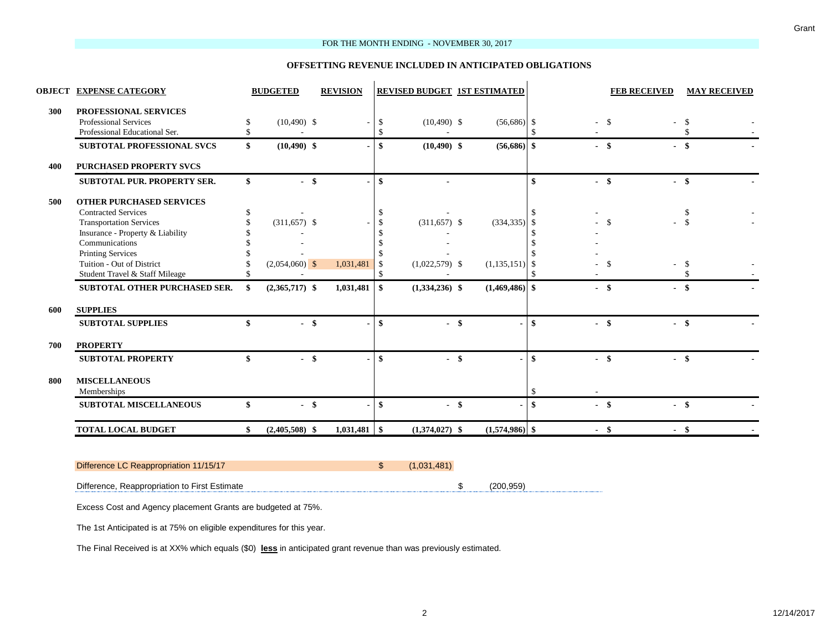#### FOR THE MONTH ENDING - NOVEMBER 30, 2017

#### **OFFSETTING REVENUE INCLUDED IN ANTICIPATED OBLIGATIONS**

| $(10,490)$ \$<br>$(10,490)$ \$<br>$-$ \$<br>$(311,657)$ \$<br>$(2,054,060)$ \$ | 1,031,481<br>1,031,481 | \$<br>$\mathbf{\$}$<br>\$<br>\$<br>\$<br><sup>\$</sup><br><sup>\$</sup><br>\$ | $(10, 490)$ \$<br>$(10, 490)$ \$<br>$(311, 657)$ \$<br>$(1,022,579)$ \$ | $(56,686)$ \$<br>$(56,686)$ \$<br>$(334, 335)$ \$<br>$(1,135,151)$ \$ | \$            | $-$ \$<br>$-$ \$<br>$-$ \$<br>-\$<br>-\$ | \$<br>$-$ \$<br>$-$ \$<br>S<br>-\$<br>-\$    |
|--------------------------------------------------------------------------------|------------------------|-------------------------------------------------------------------------------|-------------------------------------------------------------------------|-----------------------------------------------------------------------|---------------|------------------------------------------|----------------------------------------------|
|                                                                                |                        |                                                                               |                                                                         |                                                                       |               |                                          |                                              |
|                                                                                |                        |                                                                               |                                                                         |                                                                       |               |                                          |                                              |
|                                                                                |                        |                                                                               |                                                                         |                                                                       |               |                                          |                                              |
|                                                                                |                        |                                                                               |                                                                         |                                                                       |               |                                          |                                              |
|                                                                                |                        |                                                                               |                                                                         |                                                                       |               |                                          |                                              |
|                                                                                |                        |                                                                               |                                                                         |                                                                       |               |                                          |                                              |
|                                                                                |                        |                                                                               |                                                                         |                                                                       |               |                                          |                                              |
|                                                                                |                        |                                                                               |                                                                         |                                                                       |               |                                          |                                              |
|                                                                                |                        |                                                                               |                                                                         |                                                                       |               |                                          |                                              |
|                                                                                |                        |                                                                               |                                                                         |                                                                       |               |                                          |                                              |
|                                                                                |                        |                                                                               |                                                                         |                                                                       |               |                                          |                                              |
|                                                                                |                        |                                                                               |                                                                         |                                                                       |               |                                          |                                              |
|                                                                                |                        |                                                                               |                                                                         |                                                                       |               |                                          |                                              |
|                                                                                |                        |                                                                               |                                                                         |                                                                       |               |                                          |                                              |
| $(2,365,717)$ \$                                                               |                        | \$                                                                            | $(1,334,236)$ \$                                                        | $(1,469,486)$ \$                                                      |               | - \$                                     | - \$                                         |
|                                                                                |                        |                                                                               |                                                                         |                                                                       |               |                                          |                                              |
| $-$ \$                                                                         |                        | \$                                                                            | $-$ \$                                                                  |                                                                       | $\mathbf{s}$  | $-$ \$                                   | $-$ \$                                       |
|                                                                                |                        |                                                                               |                                                                         |                                                                       |               |                                          |                                              |
| $-$ \$                                                                         |                        | $\mathbf{s}$                                                                  | $-$ \$                                                                  |                                                                       | $\mathbf{\$}$ | $-$ \$                                   | $-$ \$                                       |
|                                                                                |                        |                                                                               |                                                                         |                                                                       |               |                                          |                                              |
|                                                                                |                        |                                                                               |                                                                         |                                                                       |               |                                          |                                              |
|                                                                                |                        | \$                                                                            |                                                                         |                                                                       | \$            | $-$ \$                                   | $-$ \$                                       |
|                                                                                |                        |                                                                               |                                                                         |                                                                       |               |                                          | $-$ \$                                       |
|                                                                                | $-$ \$                 | $(2,405,508)$ \$                                                              |                                                                         | $-$ \$                                                                |               |                                          | $(1,374,027)$ \$<br>$(1,574,986)$ \$<br>- \$ |

# Difference LC Reappropriation 11/15/17 (1,031,481)

Difference, Reappropriation to First Estimate  $(200,959)$ 

Excess Cost and Agency placement Grants are budgeted at 75%.

The 1st Anticipated is at 75% on eligible expenditures for this year.

The Final Received is at XX% which equals (\$0) **less** in anticipated grant revenue than was previously estimated.